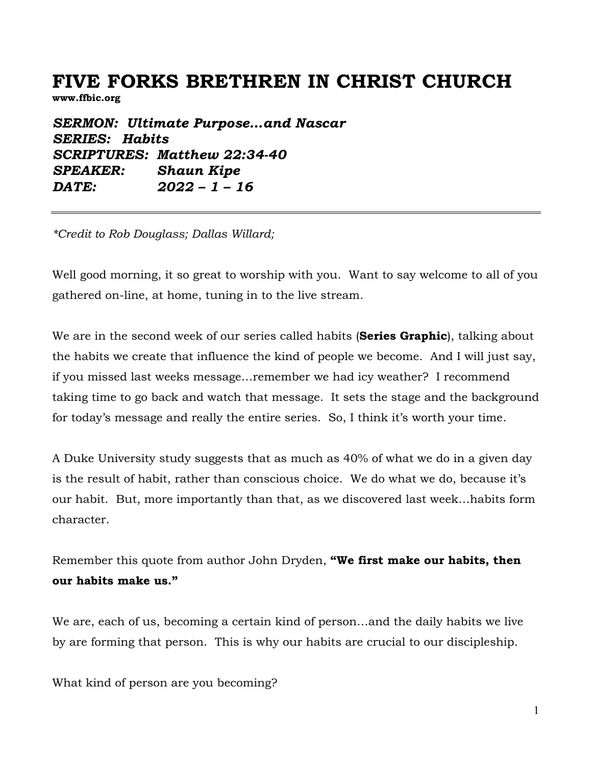# **FIVE FORKS BRETHREN IN CHRIST CHURCH**

**www.ffbic.org**

*SERMON: Ultimate Purpose…and Nascar SERIES: Habits SCRIPTURES: Matthew 22:34-40 SPEAKER: Shaun Kipe DATE: 2022 – 1 – 16*

*\*Credit to Rob Douglass; Dallas Willard;* 

Well good morning, it so great to worship with you. Want to say welcome to all of you gathered on-line, at home, tuning in to the live stream.

We are in the second week of our series called habits (**Series Graphic**), talking about the habits we create that influence the kind of people we become. And I will just say, if you missed last weeks message…remember we had icy weather? I recommend taking time to go back and watch that message. It sets the stage and the background for today's message and really the entire series. So, I think it's worth your time.

A Duke University study suggests that as much as 40% of what we do in a given day is the result of habit, rather than conscious choice. We do what we do, because it's our habit. But, more importantly than that, as we discovered last week…habits form character.

Remember this quote from author John Dryden, **"We first make our habits, then our habits make us."**

We are, each of us, becoming a certain kind of person…and the daily habits we live by are forming that person. This is why our habits are crucial to our discipleship.

What kind of person are you becoming?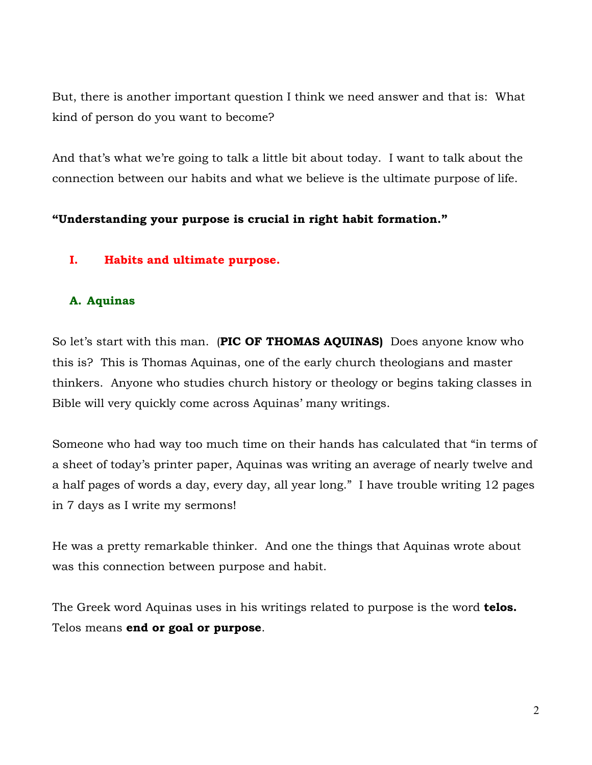But, there is another important question I think we need answer and that is: What kind of person do you want to become?

And that's what we're going to talk a little bit about today. I want to talk about the connection between our habits and what we believe is the ultimate purpose of life.

## **"Understanding your purpose is crucial in right habit formation."**

## **I. Habits and ultimate purpose.**

## **A. Aquinas**

So let's start with this man. (**PIC OF THOMAS AQUINAS)** Does anyone know who this is? This is Thomas Aquinas, one of the early church theologians and master thinkers. Anyone who studies church history or theology or begins taking classes in Bible will very quickly come across Aquinas' many writings.

Someone who had way too much time on their hands has calculated that "in terms of a sheet of today's printer paper, Aquinas was writing an average of nearly twelve and a half pages of words a day, every day, all year long." I have trouble writing 12 pages in 7 days as I write my sermons!

He was a pretty remarkable thinker. And one the things that Aquinas wrote about was this connection between purpose and habit.

The Greek word Aquinas uses in his writings related to purpose is the word **telos.**  Telos means **end or goal or purpose**.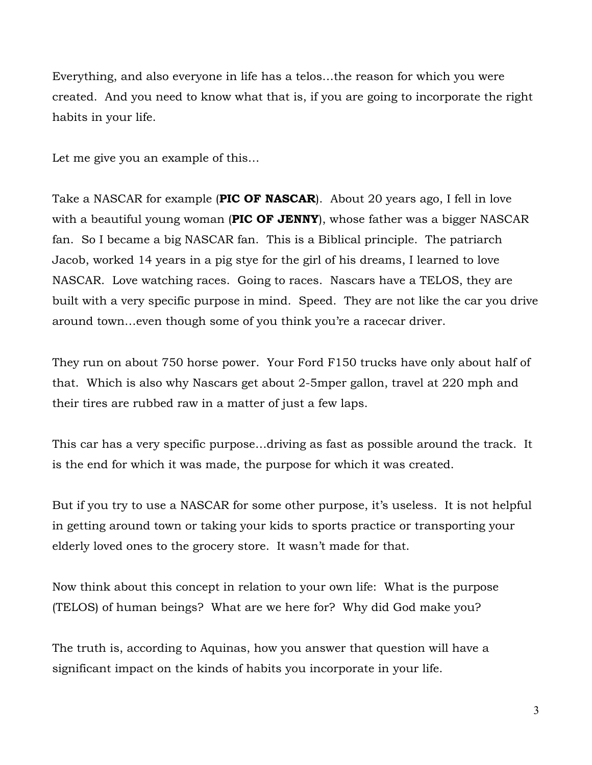Everything, and also everyone in life has a telos…the reason for which you were created. And you need to know what that is, if you are going to incorporate the right habits in your life.

Let me give you an example of this…

Take a NASCAR for example (**PIC OF NASCAR**). About 20 years ago, I fell in love with a beautiful young woman (**PIC OF JENNY**), whose father was a bigger NASCAR fan. So I became a big NASCAR fan. This is a Biblical principle. The patriarch Jacob, worked 14 years in a pig stye for the girl of his dreams, I learned to love NASCAR. Love watching races. Going to races. Nascars have a TELOS, they are built with a very specific purpose in mind. Speed. They are not like the car you drive around town…even though some of you think you're a racecar driver.

They run on about 750 horse power. Your Ford F150 trucks have only about half of that. Which is also why Nascars get about 2-5mper gallon, travel at 220 mph and their tires are rubbed raw in a matter of just a few laps.

This car has a very specific purpose…driving as fast as possible around the track. It is the end for which it was made, the purpose for which it was created.

But if you try to use a NASCAR for some other purpose, it's useless. It is not helpful in getting around town or taking your kids to sports practice or transporting your elderly loved ones to the grocery store. It wasn't made for that.

Now think about this concept in relation to your own life: What is the purpose (TELOS) of human beings? What are we here for? Why did God make you?

The truth is, according to Aquinas, how you answer that question will have a significant impact on the kinds of habits you incorporate in your life.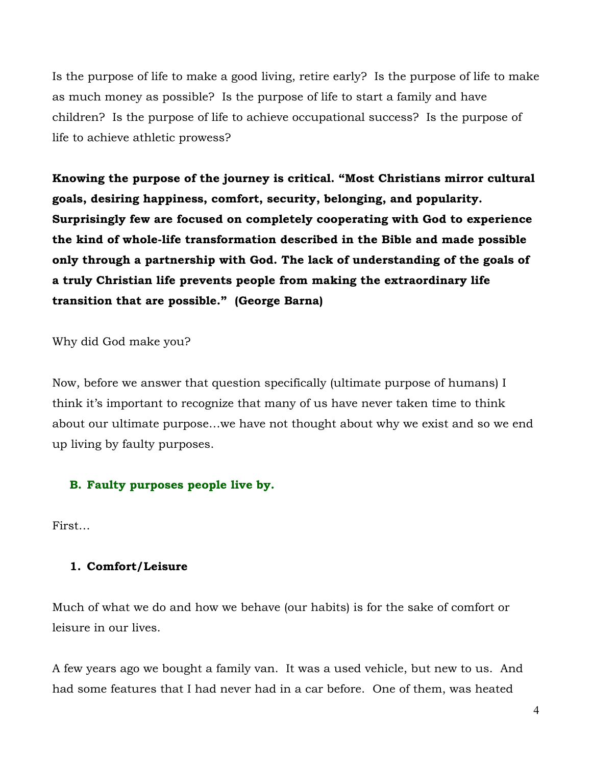Is the purpose of life to make a good living, retire early? Is the purpose of life to make as much money as possible? Is the purpose of life to start a family and have children? Is the purpose of life to achieve occupational success? Is the purpose of life to achieve athletic prowess?

**Knowing the purpose of the journey is critical. "Most Christians mirror cultural goals, desiring happiness, comfort, security, belonging, and popularity. Surprisingly few are focused on completely cooperating with God to experience the kind of whole-life transformation described in the Bible and made possible only through a partnership with God. The lack of understanding of the goals of a truly Christian life prevents people from making the extraordinary life transition that are possible." (George Barna)** 

Why did God make you?

Now, before we answer that question specifically (ultimate purpose of humans) I think it's important to recognize that many of us have never taken time to think about our ultimate purpose…we have not thought about why we exist and so we end up living by faulty purposes.

## **B. Faulty purposes people live by.**

First…

### **1. Comfort/Leisure**

Much of what we do and how we behave (our habits) is for the sake of comfort or leisure in our lives.

A few years ago we bought a family van. It was a used vehicle, but new to us. And had some features that I had never had in a car before. One of them, was heated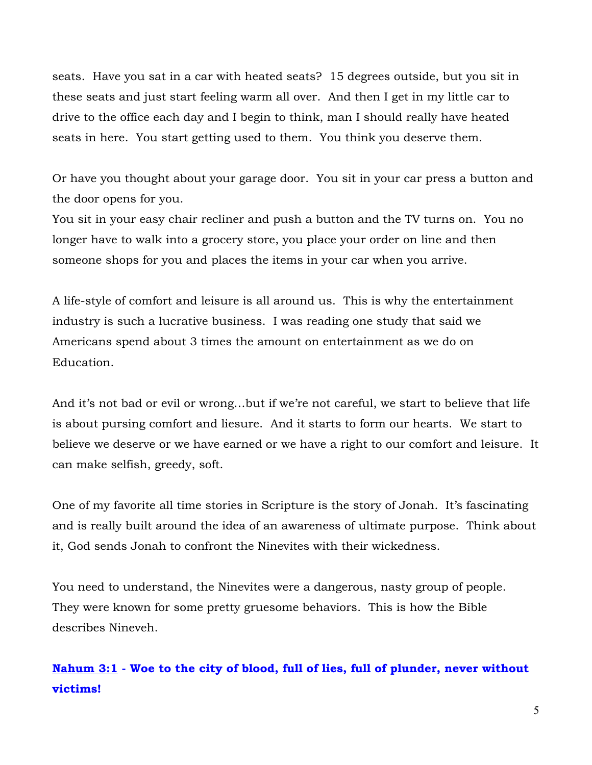seats. Have you sat in a car with heated seats? 15 degrees outside, but you sit in these seats and just start feeling warm all over. And then I get in my little car to drive to the office each day and I begin to think, man I should really have heated seats in here. You start getting used to them. You think you deserve them.

Or have you thought about your garage door. You sit in your car press a button and the door opens for you.

You sit in your easy chair recliner and push a button and the TV turns on. You no longer have to walk into a grocery store, you place your order on line and then someone shops for you and places the items in your car when you arrive.

A life-style of comfort and leisure is all around us. This is why the entertainment industry is such a lucrative business. I was reading one study that said we Americans spend about 3 times the amount on entertainment as we do on Education.

And it's not bad or evil or wrong…but if we're not careful, we start to believe that life is about pursing comfort and liesure. And it starts to form our hearts. We start to believe we deserve or we have earned or we have a right to our comfort and leisure. It can make selfish, greedy, soft.

One of my favorite all time stories in Scripture is the story of Jonah. It's fascinating and is really built around the idea of an awareness of ultimate purpose. Think about it, God sends Jonah to confront the Ninevites with their wickedness.

You need to understand, the Ninevites were a dangerous, nasty group of people. They were known for some pretty gruesome behaviors. This is how the Bible describes Nineveh.

**Nahum 3:1 - Woe to the city of blood, full of lies, full of plunder, never without victims!**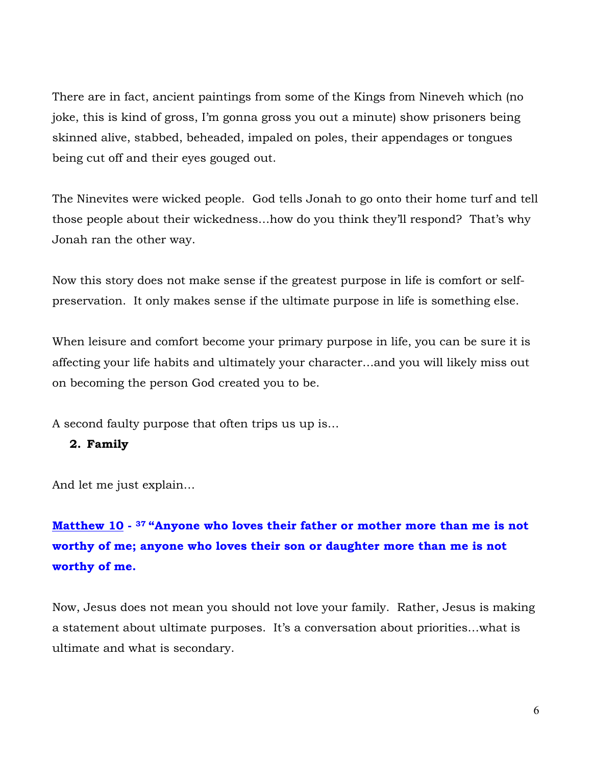There are in fact, ancient paintings from some of the Kings from Nineveh which (no joke, this is kind of gross, I'm gonna gross you out a minute) show prisoners being skinned alive, stabbed, beheaded, impaled on poles, their appendages or tongues being cut off and their eyes gouged out.

The Ninevites were wicked people. God tells Jonah to go onto their home turf and tell those people about their wickedness…how do you think they'll respond? That's why Jonah ran the other way.

Now this story does not make sense if the greatest purpose in life is comfort or selfpreservation. It only makes sense if the ultimate purpose in life is something else.

When leisure and comfort become your primary purpose in life, you can be sure it is affecting your life habits and ultimately your character…and you will likely miss out on becoming the person God created you to be.

A second faulty purpose that often trips us up is…

### **2. Family**

And let me just explain…

## **Matthew 10 - <sup>37</sup> "Anyone who loves their father or mother more than me is not worthy of me; anyone who loves their son or daughter more than me is not worthy of me.**

Now, Jesus does not mean you should not love your family. Rather, Jesus is making a statement about ultimate purposes. It's a conversation about priorities…what is ultimate and what is secondary.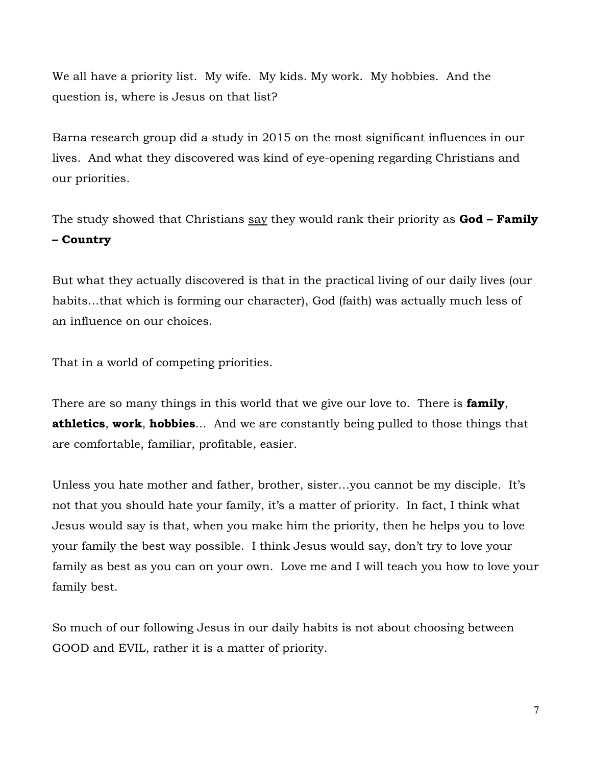We all have a priority list. My wife. My kids. My work. My hobbies. And the question is, where is Jesus on that list?

Barna research group did a study in 2015 on the most significant influences in our lives. And what they discovered was kind of eye-opening regarding Christians and our priorities.

The study showed that Christians say they would rank their priority as **God – Family – Country**

But what they actually discovered is that in the practical living of our daily lives (our habits…that which is forming our character), God (faith) was actually much less of an influence on our choices.

That in a world of competing priorities.

There are so many things in this world that we give our love to. There is **family**, **athletics**, **work**, **hobbies**... And we are constantly being pulled to those things that are comfortable, familiar, profitable, easier.

Unless you hate mother and father, brother, sister…you cannot be my disciple. It's not that you should hate your family, it's a matter of priority. In fact, I think what Jesus would say is that, when you make him the priority, then he helps you to love your family the best way possible. I think Jesus would say, don't try to love your family as best as you can on your own. Love me and I will teach you how to love your family best.

So much of our following Jesus in our daily habits is not about choosing between GOOD and EVIL, rather it is a matter of priority.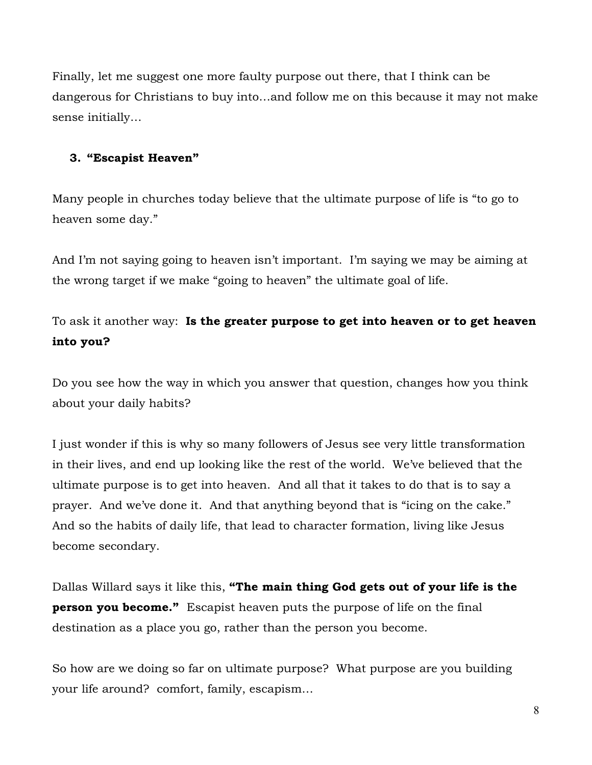Finally, let me suggest one more faulty purpose out there, that I think can be dangerous for Christians to buy into…and follow me on this because it may not make sense initially…

## **3. "Escapist Heaven"**

Many people in churches today believe that the ultimate purpose of life is "to go to heaven some day."

And I'm not saying going to heaven isn't important. I'm saying we may be aiming at the wrong target if we make "going to heaven" the ultimate goal of life.

To ask it another way: **Is the greater purpose to get into heaven or to get heaven into you?** 

Do you see how the way in which you answer that question, changes how you think about your daily habits?

I just wonder if this is why so many followers of Jesus see very little transformation in their lives, and end up looking like the rest of the world. We've believed that the ultimate purpose is to get into heaven. And all that it takes to do that is to say a prayer. And we've done it. And that anything beyond that is "icing on the cake." And so the habits of daily life, that lead to character formation, living like Jesus become secondary.

Dallas Willard says it like this, **"The main thing God gets out of your life is the person you become."** Escapist heaven puts the purpose of life on the final destination as a place you go, rather than the person you become.

So how are we doing so far on ultimate purpose? What purpose are you building your life around? comfort, family, escapism…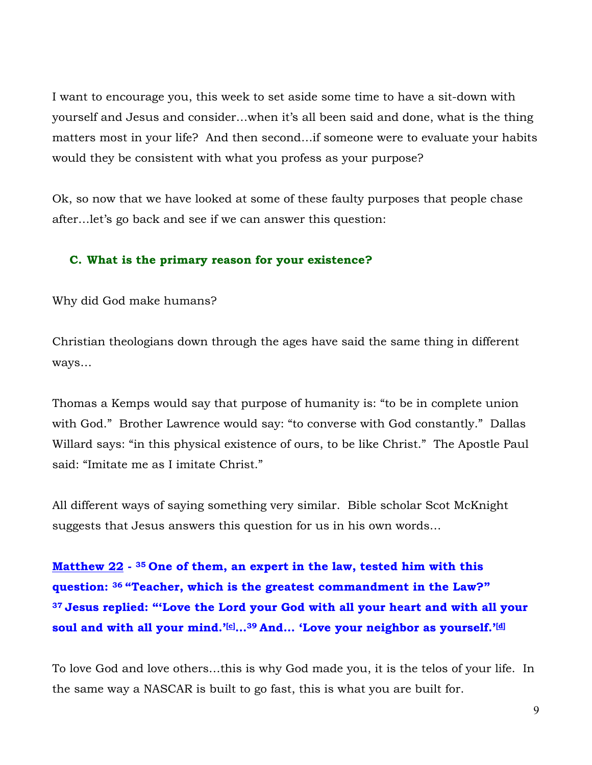I want to encourage you, this week to set aside some time to have a sit-down with yourself and Jesus and consider…when it's all been said and done, what is the thing matters most in your life? And then second…if someone were to evaluate your habits would they be consistent with what you profess as your purpose?

Ok, so now that we have looked at some of these faulty purposes that people chase after…let's go back and see if we can answer this question:

### **C. What is the primary reason for your existence?**

Why did God make humans?

Christian theologians down through the ages have said the same thing in different ways…

Thomas a Kemps would say that purpose of humanity is: "to be in complete union with God." Brother Lawrence would say: "to converse with God constantly." Dallas Willard says: "in this physical existence of ours, to be like Christ." The Apostle Paul said: "Imitate me as I imitate Christ."

All different ways of saying something very similar. Bible scholar Scot McKnight suggests that Jesus answers this question for us in his own words…

**Matthew 22 - <sup>35</sup> One of them, an expert in the law, tested him with this question: <sup>36</sup> "Teacher, which is the greatest commandment in the Law?" <sup>37</sup> Jesus replied: "'Love the Lord your God with all your heart and with all your soul and with all your mind.'[c] …39 And… 'Love your neighbor as yourself.'[d]**

To love God and love others…this is why God made you, it is the telos of your life. In the same way a NASCAR is built to go fast, this is what you are built for.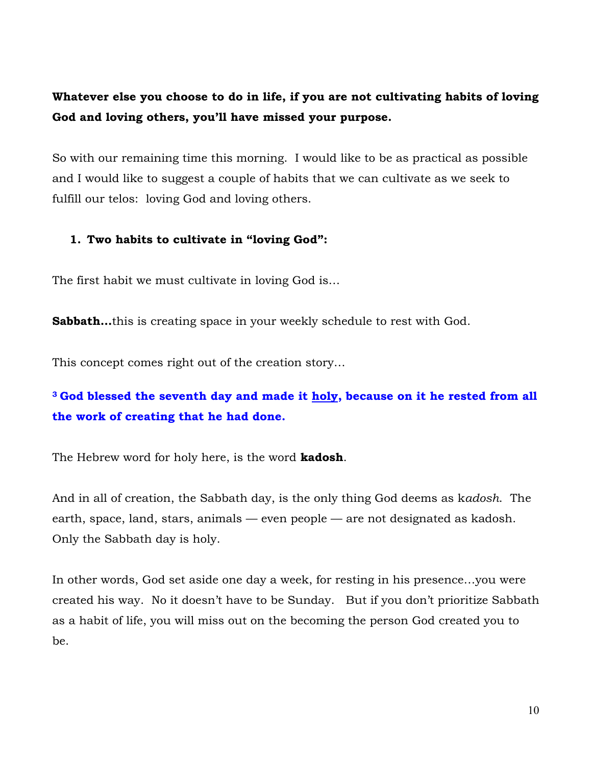**Whatever else you choose to do in life, if you are not cultivating habits of loving God and loving others, you'll have missed your purpose.** 

So with our remaining time this morning. I would like to be as practical as possible and I would like to suggest a couple of habits that we can cultivate as we seek to fulfill our telos: loving God and loving others.

### **1. Two habits to cultivate in "loving God":**

The first habit we must cultivate in loving God is…

**Sabbath...**this is creating space in your weekly schedule to rest with God.

This concept comes right out of the creation story…

## **<sup>3</sup> God blessed the seventh day and made it holy, because on it he rested from all the work of creating that he had done.**

The Hebrew word for holy here, is the word **kadosh**.

And in all of creation, the Sabbath day, is the only thing God deems as k*adosh*. The earth, space, land, stars, animals — even people — are not designated as kadosh. Only the Sabbath day is holy.

In other words, God set aside one day a week, for resting in his presence…you were created his way. No it doesn't have to be Sunday. But if you don't prioritize Sabbath as a habit of life, you will miss out on the becoming the person God created you to be.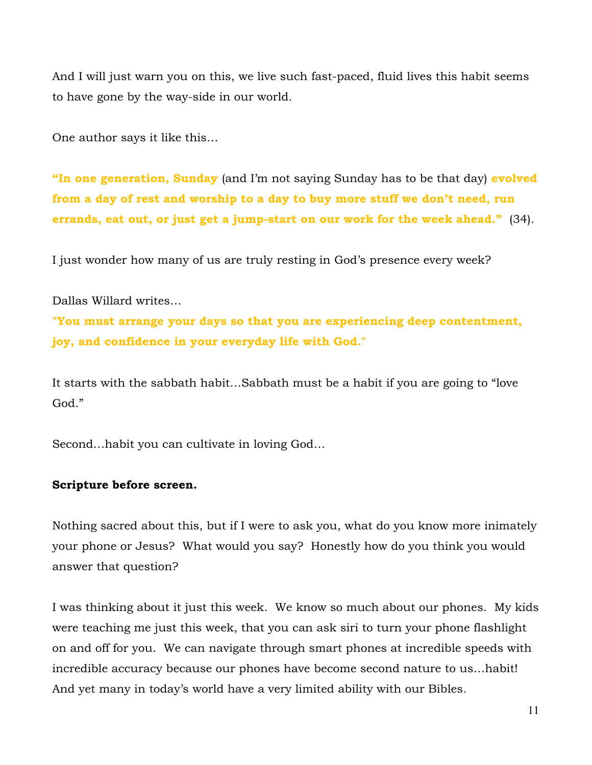And I will just warn you on this, we live such fast-paced, fluid lives this habit seems to have gone by the way-side in our world.

One author says it like this…

**"In one generation, Sunday** (and I'm not saying Sunday has to be that day) **evolved from a day of rest and worship to a day to buy more stuff we don't need, run errands, eat out, or just get a jump-start on our work for the week ahead."** (34).

I just wonder how many of us are truly resting in God's presence every week?

Dallas Willard writes…

**"You must arrange your days so that you are experiencing deep contentment, joy, and confidence in your everyday life with God."**

It starts with the sabbath habit…Sabbath must be a habit if you are going to "love God."

Second…habit you can cultivate in loving God…

### **Scripture before screen.**

Nothing sacred about this, but if I were to ask you, what do you know more inimately your phone or Jesus? What would you say? Honestly how do you think you would answer that question?

I was thinking about it just this week. We know so much about our phones. My kids were teaching me just this week, that you can ask siri to turn your phone flashlight on and off for you. We can navigate through smart phones at incredible speeds with incredible accuracy because our phones have become second nature to us…habit! And yet many in today's world have a very limited ability with our Bibles.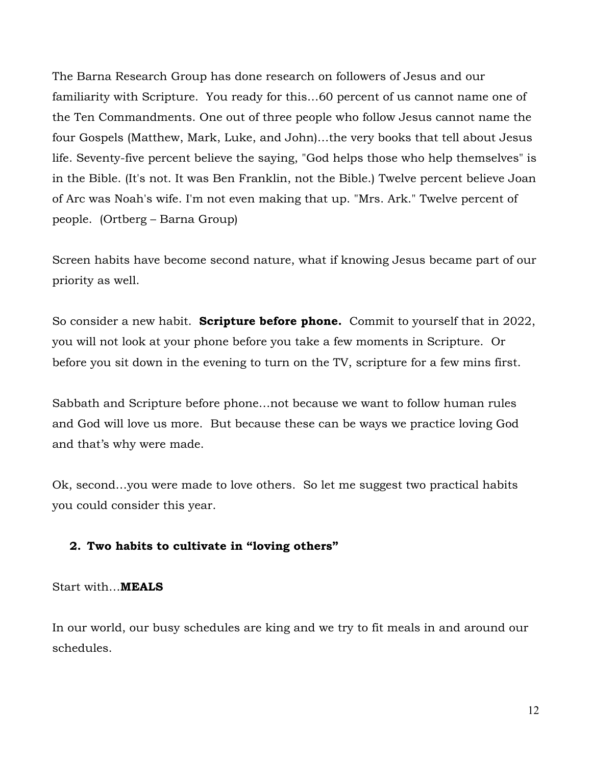The Barna Research Group has done research on followers of Jesus and our familiarity with Scripture. You ready for this…60 percent of us cannot name one of the Ten Commandments. One out of three people who follow Jesus cannot name the four Gospels (Matthew, Mark, Luke, and John)…the very books that tell about Jesus life. Seventy-five percent believe the saying, "God helps those who help themselves" is in the Bible. (It's not. It was Ben Franklin, not the Bible.) Twelve percent believe Joan of Arc was Noah's wife. I'm not even making that up. "Mrs. Ark." Twelve percent of people. (Ortberg – Barna Group)

Screen habits have become second nature, what if knowing Jesus became part of our priority as well.

So consider a new habit. **Scripture before phone.** Commit to yourself that in 2022, you will not look at your phone before you take a few moments in Scripture. Or before you sit down in the evening to turn on the TV, scripture for a few mins first.

Sabbath and Scripture before phone…not because we want to follow human rules and God will love us more. But because these can be ways we practice loving God and that's why were made.

Ok, second…you were made to love others. So let me suggest two practical habits you could consider this year.

#### **2. Two habits to cultivate in "loving others"**

Start with…**MEALS**

In our world, our busy schedules are king and we try to fit meals in and around our schedules.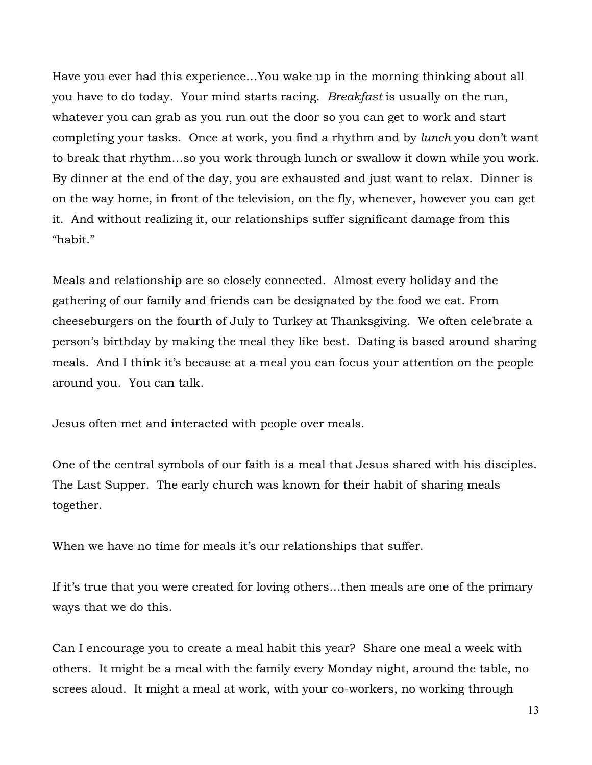Have you ever had this experience…You wake up in the morning thinking about all you have to do today. Your mind starts racing. *Breakfast* is usually on the run, whatever you can grab as you run out the door so you can get to work and start completing your tasks. Once at work, you find a rhythm and by *lunch* you don't want to break that rhythm…so you work through lunch or swallow it down while you work. By dinner at the end of the day, you are exhausted and just want to relax. Dinner is on the way home, in front of the television, on the fly, whenever, however you can get it. And without realizing it, our relationships suffer significant damage from this "habit."

Meals and relationship are so closely connected. Almost every holiday and the gathering of our family and friends can be designated by the food we eat. From cheeseburgers on the fourth of July to Turkey at Thanksgiving. We often celebrate a person's birthday by making the meal they like best. Dating is based around sharing meals. And I think it's because at a meal you can focus your attention on the people around you. You can talk.

Jesus often met and interacted with people over meals.

One of the central symbols of our faith is a meal that Jesus shared with his disciples. The Last Supper. The early church was known for their habit of sharing meals together.

When we have no time for meals it's our relationships that suffer.

If it's true that you were created for loving others…then meals are one of the primary ways that we do this.

Can I encourage you to create a meal habit this year? Share one meal a week with others. It might be a meal with the family every Monday night, around the table, no screes aloud. It might a meal at work, with your co-workers, no working through